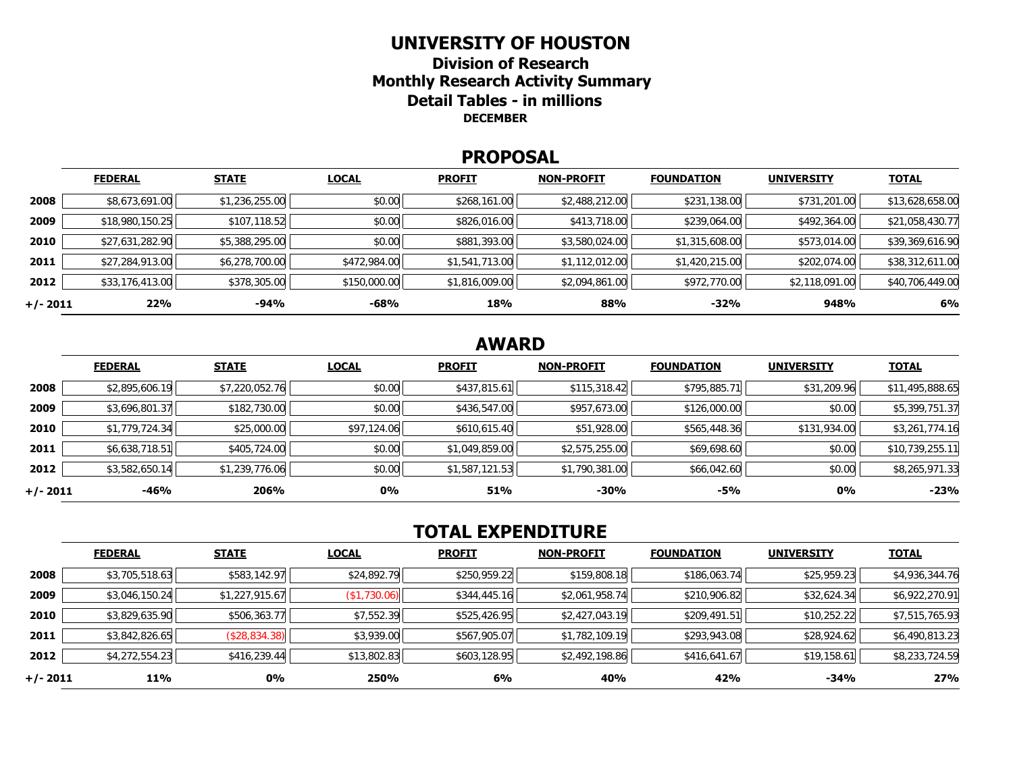#### **UNIVERSITY OF HOUSTON**

**Division of Research Monthly Research Activity Summary Detail Tables - in millions DECEMBER** 

#### **PROPOSAL**

|            | <b>FEDERAL</b>  | <b>STATE</b>   | <b>LOCAL</b> | <b>PROFIT</b>  | <b>NON-PROFIT</b> | <b>FOUNDATION</b> | <b>UNIVERSITY</b> | <b>TOTAL</b>    |
|------------|-----------------|----------------|--------------|----------------|-------------------|-------------------|-------------------|-----------------|
| 2008       | \$8,673,691.00  | \$1,236,255.00 | \$0.00       | \$268,161.00   | \$2,488,212.00    | \$231,138.00      | \$731,201.00      | \$13,628,658.00 |
| 2009       | \$18,980,150.25 | \$107,118.52   | \$0.00       | \$826,016.00   | \$413,718.00      | \$239,064.00      | \$492,364.00      | \$21,058,430.77 |
| 2010       | \$27,631,282.90 | \$5,388,295.00 | \$0.00       | \$881,393.00   | \$3,580,024.00    | \$1,315,608.00    | \$573,014.00      | \$39,369,616.90 |
| 2011       | \$27,284,913.00 | \$6,278,700.00 | \$472,984.00 | \$1,541,713.00 | \$1,112,012.00    | \$1,420,215.00    | \$202,074.00      | \$38,312,611.00 |
| 2012       | \$33,176,413.00 | \$378,305.00   | \$150,000.00 | \$1,816,009.00 | \$2,094,861.00    | \$972,770.00      | \$2,118,091.00    | \$40,706,449.00 |
| $+/- 2011$ | 22%             | -94%           | $-68%$       | 18%            | 88%               | $-32%$            | 948%              | 6%              |

# **AWARD**

|          | <b>FEDERAL</b> | <b>STATE</b>   | <b>LOCAL</b> | <b>PROFIT</b>  | <b>NON-PROFIT</b> | <b>FOUNDATION</b> | <b>UNIVERSITY</b> | <b>TOTAL</b>    |
|----------|----------------|----------------|--------------|----------------|-------------------|-------------------|-------------------|-----------------|
| 2008     | \$2,895,606.19 | \$7,220,052.76 | \$0.00       | \$437,815.61   | \$115,318.42      | \$795,885.71      | \$31,209.96       | \$11,495,888.65 |
| 2009     | \$3,696,801.37 | \$182,730.00   | \$0.00       | \$436,547.00   | \$957,673.00      | \$126,000.00      | \$0.00            | \$5,399,751.37  |
| 2010     | \$1,779,724.34 | \$25,000.00    | \$97,124.06  | \$610,615.40   | \$51,928.00       | \$565,448.36      | \$131,934.00      | \$3,261,774.16  |
| 2011     | \$6,638,718.51 | \$405,724.00   | \$0.00       | \$1,049,859.00 | \$2,575,255.00    | \$69,698.60       | \$0.00            | \$10,739,255.11 |
| 2012     | \$3,582,650.14 | \$1,239,776.06 | \$0.00       | \$1,587,121.53 | \$1,790,381.00    | \$66,042.60       | \$0.00            | \$8,265,971.33  |
| +/- 2011 | -46%           | 206%           | 0%           | 51%            | $-30%$            | -5%               | 0%                | $-23%$          |

# **TOTAL EXPENDITURE**

|          | <b>FEDERAL</b> | <b>STATE</b>   | <b>LOCAL</b> | <b>PROFIT</b> | <b>NON-PROFIT</b> | <b>FOUNDATION</b> | <b>UNIVERSITY</b> | <b>TOTAL</b>   |
|----------|----------------|----------------|--------------|---------------|-------------------|-------------------|-------------------|----------------|
| 2008     | \$3,705,518.63 | \$583,142.97   | \$24,892.79  | \$250,959.22  | \$159,808.18      | \$186,063.74      | \$25,959.23       | \$4,936,344.76 |
| 2009     | \$3,046,150.24 | \$1,227,915.67 | (\$1,730.06) | \$344,445.16  | \$2,061,958.74    | \$210,906.82      | \$32,624.34       | \$6,922,270.91 |
| 2010     | \$3,829,635.90 | \$506,363.77   | \$7,552.39   | \$525,426.95  | \$2,427,043.19    | \$209,491.51      | \$10,252.22       | \$7,515,765.93 |
| 2011     | \$3,842,826.65 | (\$28,834.38)  | \$3,939.00   | \$567,905.07  | \$1,782,109.19    | \$293,943.08      | \$28,924.62       | \$6,490,813.23 |
| 2012     | \$4,272,554.23 | \$416,239.44   | \$13,802.83  | \$603,128.95  | \$2,492,198.86    | \$416,641.67      | \$19,158.61       | \$8,233,724.59 |
| +/- 2011 | 11%            | $0\%$          | 250%         | 6%            | 40%               | 42%               | -34%              | 27%            |